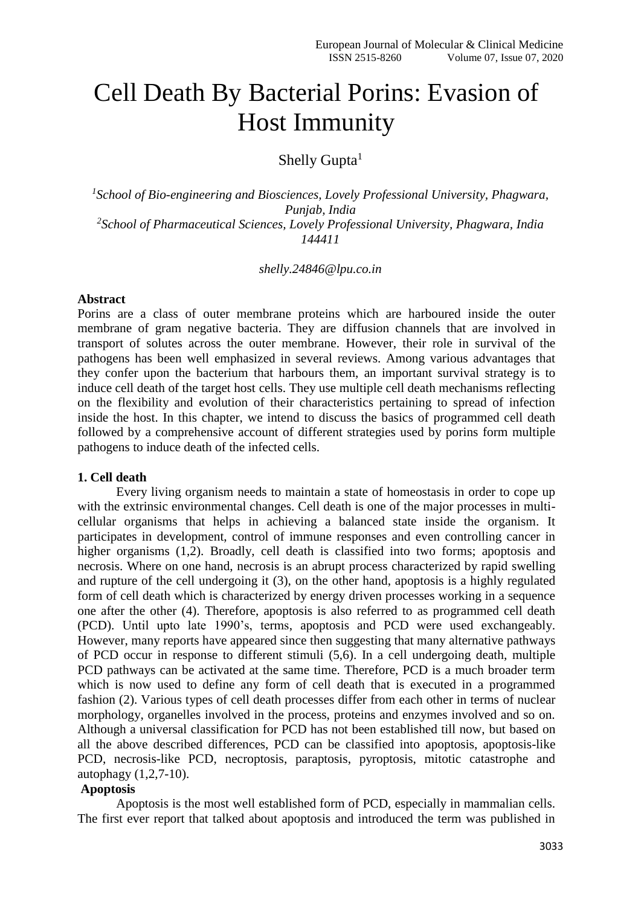# Cell Death By Bacterial Porins: Evasion of Host Immunity

Shelly Gupta $<sup>1</sup>$ </sup>

<sup>1</sup> School of Bio-engineering and Biosciences, Lovely Professional University, Phagwara, *Punjab, India 2 School of Pharmaceutical Sciences, Lovely Professional University, Phagwara, India 144411*

#### *shelly.24846@lpu.co.in*

#### **Abstract**

Porins are a class of outer membrane proteins which are harboured inside the outer membrane of gram negative bacteria. They are diffusion channels that are involved in transport of solutes across the outer membrane. However, their role in survival of the pathogens has been well emphasized in several reviews. Among various advantages that they confer upon the bacterium that harbours them, an important survival strategy is to induce cell death of the target host cells. They use multiple cell death mechanisms reflecting on the flexibility and evolution of their characteristics pertaining to spread of infection inside the host. In this chapter, we intend to discuss the basics of programmed cell death followed by a comprehensive account of different strategies used by porins form multiple pathogens to induce death of the infected cells.

## **1. Cell death**

Every living organism needs to maintain a state of homeostasis in order to cope up with the extrinsic environmental changes. Cell death is one of the major processes in multicellular organisms that helps in achieving a balanced state inside the organism. It participates in development, control of immune responses and even controlling cancer in higher organisms (1,2). Broadly, cell death is classified into two forms; apoptosis and necrosis. Where on one hand, necrosis is an abrupt process characterized by rapid swelling and rupture of the cell undergoing it (3), on the other hand, apoptosis is a highly regulated form of cell death which is characterized by energy driven processes working in a sequence one after the other (4). Therefore, apoptosis is also referred to as programmed cell death (PCD). Until upto late 1990's, terms, apoptosis and PCD were used exchangeably. However, many reports have appeared since then suggesting that many alternative pathways of PCD occur in response to different stimuli (5,6). In a cell undergoing death, multiple PCD pathways can be activated at the same time. Therefore, PCD is a much broader term which is now used to define any form of cell death that is executed in a programmed fashion (2). Various types of cell death processes differ from each other in terms of nuclear morphology, organelles involved in the process, proteins and enzymes involved and so on. Although a universal classification for PCD has not been established till now, but based on all the above described differences, PCD can be classified into apoptosis, apoptosis-like PCD, necrosis-like PCD, necroptosis, paraptosis, pyroptosis, mitotic catastrophe and autophagy (1,2,7-10).

## **Apoptosis**

Apoptosis is the most well established form of PCD, especially in mammalian cells. The first ever report that talked about apoptosis and introduced the term was published in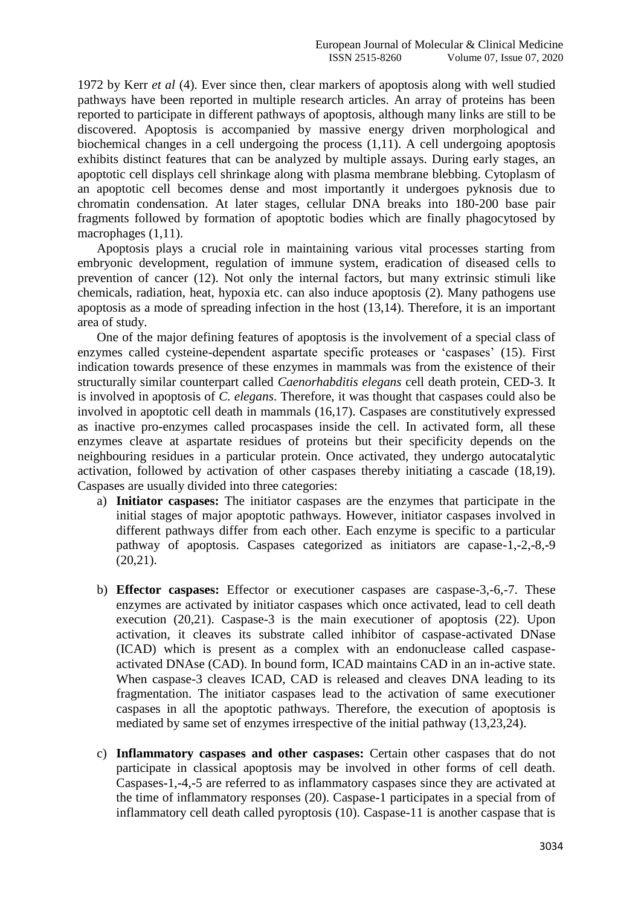1972 by Kerr *et al* (4). Ever since then, clear markers of apoptosis along with well studied pathways have been reported in multiple research articles. An array of proteins has been reported to participate in different pathways of apoptosis, although many links are still to be discovered. Apoptosis is accompanied by massive energy driven morphological and biochemical changes in a cell undergoing the process (1,11). A cell undergoing apoptosis exhibits distinct features that can be analyzed by multiple assays. During early stages, an apoptotic cell displays cell shrinkage along with plasma membrane blebbing. Cytoplasm of an apoptotic cell becomes dense and most importantly it undergoes pyknosis due to chromatin condensation. At later stages, cellular DNA breaks into 180-200 base pair fragments followed by formation of apoptotic bodies which are finally phagocytosed by macrophages (1,11).

Apoptosis plays a crucial role in maintaining various vital processes starting from embryonic development, regulation of immune system, eradication of diseased cells to prevention of cancer (12). Not only the internal factors, but many extrinsic stimuli like chemicals, radiation, heat, hypoxia etc. can also induce apoptosis (2). Many pathogens use apoptosis as a mode of spreading infection in the host (13,14). Therefore, it is an important area of study.

One of the major defining features of apoptosis is the involvement of a special class of enzymes called cysteine-dependent aspartate specific proteases or 'caspases' (15). First indication towards presence of these enzymes in mammals was from the existence of their structurally similar counterpart called *Caenorhabditis elegans* cell death protein, CED-3. It is involved in apoptosis of *C. elegans*. Therefore, it was thought that caspases could also be involved in apoptotic cell death in mammals (16,17). Caspases are constitutively expressed as inactive pro-enzymes called procaspases inside the cell. In activated form, all these enzymes cleave at aspartate residues of proteins but their specificity depends on the neighbouring residues in a particular protein. Once activated, they undergo autocatalytic activation, followed by activation of other caspases thereby initiating a cascade (18,19). Caspases are usually divided into three categories:

- a) **Initiator caspases:** The initiator caspases are the enzymes that participate in the initial stages of major apoptotic pathways. However, initiator caspases involved in different pathways differ from each other. Each enzyme is specific to a particular pathway of apoptosis. Caspases categorized as initiators are capase-1,-2,-8,-9  $(20,21)$ .
- b) **Effector caspases:** Effector or executioner caspases are caspase-3,-6,-7. These enzymes are activated by initiator caspases which once activated, lead to cell death execution (20,21). Caspase-3 is the main executioner of apoptosis (22). Upon activation, it cleaves its substrate called inhibitor of caspase-activated DNase (ICAD) which is present as a complex with an endonuclease called caspaseactivated DNAse (CAD). In bound form, ICAD maintains CAD in an in-active state. When caspase-3 cleaves ICAD, CAD is released and cleaves DNA leading to its fragmentation. The initiator caspases lead to the activation of same executioner caspases in all the apoptotic pathways. Therefore, the execution of apoptosis is mediated by same set of enzymes irrespective of the initial pathway (13,23,24).
- c) **Inflammatory caspases and other caspases:** Certain other caspases that do not participate in classical apoptosis may be involved in other forms of cell death. Caspases-1,-4,-5 are referred to as inflammatory caspases since they are activated at the time of inflammatory responses (20). Caspase-1 participates in a special from of inflammatory cell death called pyroptosis (10). Caspase-11 is another caspase that is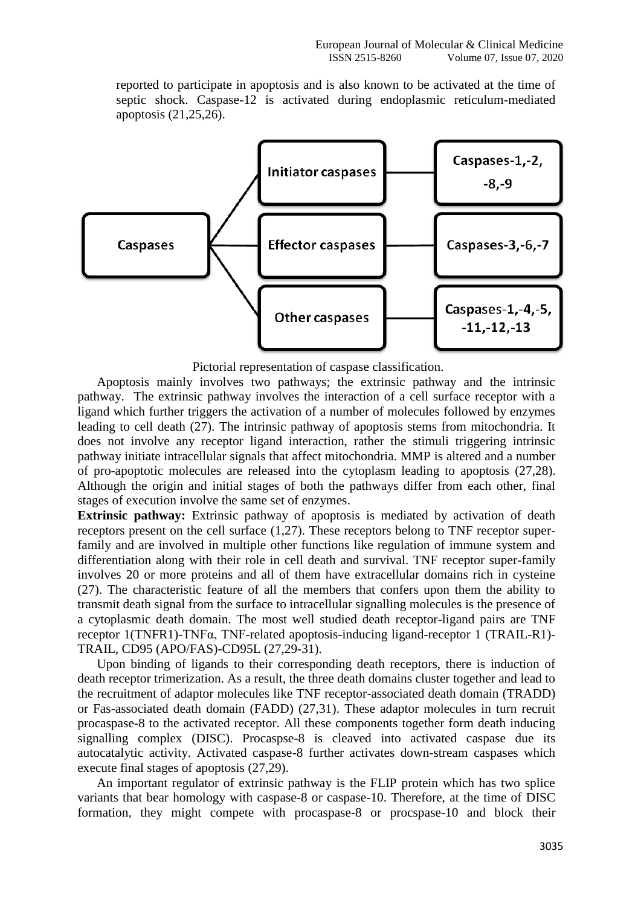reported to participate in apoptosis and is also known to be activated at the time of septic shock. Caspase-12 is activated during endoplasmic reticulum-mediated apoptosis (21,25,26).



Pictorial representation of caspase classification.

Apoptosis mainly involves two pathways; the extrinsic pathway and the intrinsic pathway. The extrinsic pathway involves the interaction of a cell surface receptor with a ligand which further triggers the activation of a number of molecules followed by enzymes leading to cell death (27). The intrinsic pathway of apoptosis stems from mitochondria. It does not involve any receptor ligand interaction, rather the stimuli triggering intrinsic pathway initiate intracellular signals that affect mitochondria. MMP is altered and a number of pro-apoptotic molecules are released into the cytoplasm leading to apoptosis (27,28). Although the origin and initial stages of both the pathways differ from each other, final stages of execution involve the same set of enzymes.

**Extrinsic pathway:** Extrinsic pathway of apoptosis is mediated by activation of death receptors present on the cell surface (1,27). These receptors belong to TNF receptor superfamily and are involved in multiple other functions like regulation of immune system and differentiation along with their role in cell death and survival. TNF receptor super-family involves 20 or more proteins and all of them have extracellular domains rich in cysteine (27). The characteristic feature of all the members that confers upon them the ability to transmit death signal from the surface to intracellular signalling molecules is the presence of a cytoplasmic death domain. The most well studied death receptor-ligand pairs are TNF receptor 1(TNFR1)-TNFα, TNF-related apoptosis-inducing ligand-receptor 1 (TRAIL-R1)- TRAIL, CD95 (APO/FAS)-CD95L (27,29-31).

Upon binding of ligands to their corresponding death receptors, there is induction of death receptor trimerization. As a result, the three death domains cluster together and lead to the recruitment of adaptor molecules like TNF receptor-associated death domain (TRADD) or Fas-associated death domain (FADD) (27,31). These adaptor molecules in turn recruit procaspase-8 to the activated receptor. All these components together form death inducing signalling complex (DISC). Procaspse-8 is cleaved into activated caspase due its autocatalytic activity. Activated caspase-8 further activates down-stream caspases which execute final stages of apoptosis (27,29).

An important regulator of extrinsic pathway is the FLIP protein which has two splice variants that bear homology with caspase-8 or caspase-10. Therefore, at the time of DISC formation, they might compete with procaspase-8 or procspase-10 and block their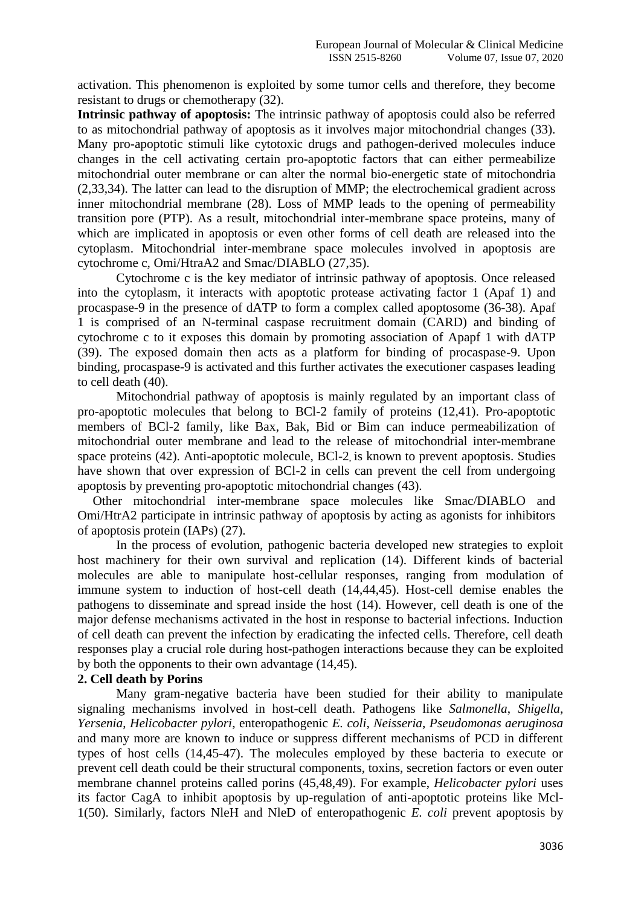activation. This phenomenon is exploited by some tumor cells and therefore, they become resistant to drugs or chemotherapy (32).

**Intrinsic pathway of apoptosis:** The intrinsic pathway of apoptosis could also be referred to as mitochondrial pathway of apoptosis as it involves major mitochondrial changes (33). Many pro-apoptotic stimuli like cytotoxic drugs and pathogen-derived molecules induce changes in the cell activating certain pro-apoptotic factors that can either permeabilize mitochondrial outer membrane or can alter the normal bio-energetic state of mitochondria (2,33,34). The latter can lead to the disruption of MMP; the electrochemical gradient across inner mitochondrial membrane (28). Loss of MMP leads to the opening of permeability transition pore (PTP). As a result, mitochondrial inter-membrane space proteins, many of which are implicated in apoptosis or even other forms of cell death are released into the cytoplasm. Mitochondrial inter-membrane space molecules involved in apoptosis are cytochrome c, Omi/HtraA2 and Smac/DIABLO (27,35).

Cytochrome c is the key mediator of intrinsic pathway of apoptosis. Once released into the cytoplasm, it interacts with apoptotic protease activating factor 1 (Apaf 1) and procaspase-9 in the presence of dATP to form a complex called apoptosome (36-38). Apaf 1 is comprised of an N-terminal caspase recruitment domain (CARD) and binding of cytochrome c to it exposes this domain by promoting association of Apapf 1 with dATP (39). The exposed domain then acts as a platform for binding of procaspase-9. Upon binding, procaspase-9 is activated and this further activates the executioner caspases leading to cell death (40).

Mitochondrial pathway of apoptosis is mainly regulated by an important class of pro-apoptotic molecules that belong to BCl-2 family of proteins (12,41). Pro-apoptotic members of BCl-2 family, like Bax, Bak, Bid or Bim can induce permeabilization of mitochondrial outer membrane and lead to the release of mitochondrial inter-membrane space proteins (42). Anti-apoptotic molecule, BCl-2, is known to prevent apoptosis. Studies have shown that over expression of BCl-2 in cells can prevent the cell from undergoing apoptosis by preventing pro-apoptotic mitochondrial changes (43).

Other mitochondrial inter-membrane space molecules like Smac/DIABLO and Omi/HtrA2 participate in intrinsic pathway of apoptosis by acting as agonists for inhibitors of apoptosis protein (IAPs) (27).

In the process of evolution, pathogenic bacteria developed new strategies to exploit host machinery for their own survival and replication (14). Different kinds of bacterial molecules are able to manipulate host-cellular responses, ranging from modulation of immune system to induction of host-cell death (14,44,45). Host-cell demise enables the pathogens to disseminate and spread inside the host (14). However, cell death is one of the major defense mechanisms activated in the host in response to bacterial infections. Induction of cell death can prevent the infection by eradicating the infected cells. Therefore, cell death responses play a crucial role during host-pathogen interactions because they can be exploited by both the opponents to their own advantage (14,45).

## **2. Cell death by Porins**

Many gram-negative bacteria have been studied for their ability to manipulate signaling mechanisms involved in host-cell death. Pathogens like *Salmonella*, *Shigella*, *Yersenia*, *Helicobacter pylori*, enteropathogenic *E. coli*, *Neisseria*, *Pseudomonas aeruginosa* and many more are known to induce or suppress different mechanisms of PCD in different types of host cells (14,45-47). The molecules employed by these bacteria to execute or prevent cell death could be their structural components, toxins, secretion factors or even outer membrane channel proteins called porins (45,48,49). For example, *Helicobacter pylori* uses its factor CagA to inhibit apoptosis by up-regulation of anti-apoptotic proteins like Mcl-1(50). Similarly, factors NleH and NleD of enteropathogenic *E. coli* prevent apoptosis by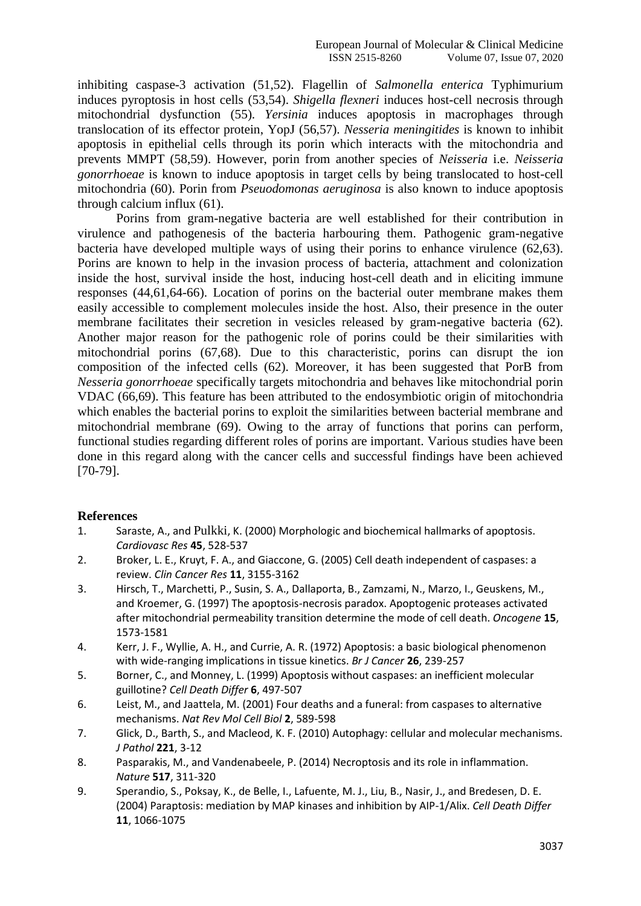inhibiting caspase-3 activation (51,52). Flagellin of *Salmonella enterica* Typhimurium induces pyroptosis in host cells (53,54). *Shigella flexneri* induces host-cell necrosis through mitochondrial dysfunction (55). *Yersinia* induces apoptosis in macrophages through translocation of its effector protein, YopJ (56,57). *Nesseria meningitides* is known to inhibit apoptosis in epithelial cells through its porin which interacts with the mitochondria and prevents MMPT (58,59). However, porin from another species of *Neisseria* i.e. *Neisseria gonorrhoeae* is known to induce apoptosis in target cells by being translocated to host-cell mitochondria (60). Porin from *Pseuodomonas aeruginosa* is also known to induce apoptosis through calcium influx (61).

Porins from gram-negative bacteria are well established for their contribution in virulence and pathogenesis of the bacteria harbouring them. Pathogenic gram-negative bacteria have developed multiple ways of using their porins to enhance virulence (62,63). Porins are known to help in the invasion process of bacteria, attachment and colonization inside the host, survival inside the host, inducing host-cell death and in eliciting immune responses (44,61,64-66). Location of porins on the bacterial outer membrane makes them easily accessible to complement molecules inside the host. Also, their presence in the outer membrane facilitates their secretion in vesicles released by gram-negative bacteria (62). Another major reason for the pathogenic role of porins could be their similarities with mitochondrial porins (67,68). Due to this characteristic, porins can disrupt the ion composition of the infected cells (62). Moreover, it has been suggested that PorB from *Nesseria gonorrhoeae* specifically targets mitochondria and behaves like mitochondrial porin VDAC (66,69). This feature has been attributed to the endosymbiotic origin of mitochondria which enables the bacterial porins to exploit the similarities between bacterial membrane and mitochondrial membrane (69). Owing to the array of functions that porins can perform, functional studies regarding different roles of porins are important. Various studies have been done in this regard along with the cancer cells and successful findings have been achieved [70-79].

## **References**

- 1. Saraste, A., and Pulkki, K. (2000) Morphologic and biochemical hallmarks of apoptosis. *Cardiovasc Res* **45**, 528-537
- 2. Broker, L. E., Kruyt, F. A., and Giaccone, G. (2005) Cell death independent of caspases: a review. *Clin Cancer Res* **11**, 3155-3162
- 3. Hirsch, T., Marchetti, P., Susin, S. A., Dallaporta, B., Zamzami, N., Marzo, I., Geuskens, M., and Kroemer, G. (1997) The apoptosis-necrosis paradox. Apoptogenic proteases activated after mitochondrial permeability transition determine the mode of cell death. *Oncogene* **15**, 1573-1581
- 4. Kerr, J. F., Wyllie, A. H., and Currie, A. R. (1972) Apoptosis: a basic biological phenomenon with wide-ranging implications in tissue kinetics. *Br J Cancer* **26**, 239-257
- 5. Borner, C., and Monney, L. (1999) Apoptosis without caspases: an inefficient molecular guillotine? *Cell Death Differ* **6**, 497-507
- 6. Leist, M., and Jaattela, M. (2001) Four deaths and a funeral: from caspases to alternative mechanisms. *Nat Rev Mol Cell Biol* **2**, 589-598
- 7. Glick, D., Barth, S., and Macleod, K. F. (2010) Autophagy: cellular and molecular mechanisms. *J Pathol* **221**, 3-12
- 8. Pasparakis, M., and Vandenabeele, P. (2014) Necroptosis and its role in inflammation. *Nature* **517**, 311-320
- 9. Sperandio, S., Poksay, K., de Belle, I., Lafuente, M. J., Liu, B., Nasir, J., and Bredesen, D. E. (2004) Paraptosis: mediation by MAP kinases and inhibition by AIP-1/Alix. *Cell Death Differ* **11**, 1066-1075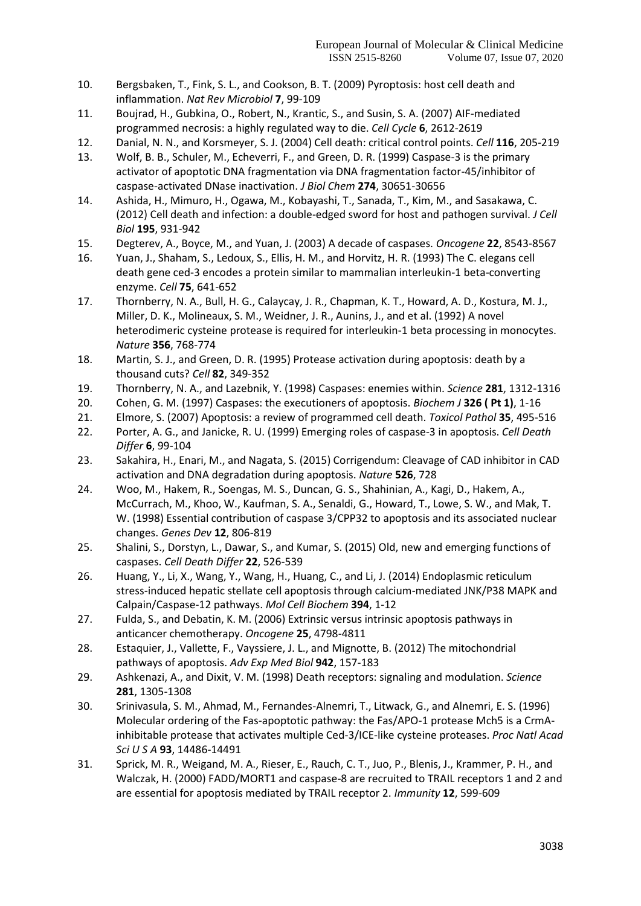- 10. Bergsbaken, T., Fink, S. L., and Cookson, B. T. (2009) Pyroptosis: host cell death and inflammation. *Nat Rev Microbiol* **7**, 99-109
- 11. Boujrad, H., Gubkina, O., Robert, N., Krantic, S., and Susin, S. A. (2007) AIF-mediated programmed necrosis: a highly regulated way to die. *Cell Cycle* **6**, 2612-2619
- 12. Danial, N. N., and Korsmeyer, S. J. (2004) Cell death: critical control points. *Cell* **116**, 205-219
- 13. Wolf, B. B., Schuler, M., Echeverri, F., and Green, D. R. (1999) Caspase-3 is the primary activator of apoptotic DNA fragmentation via DNA fragmentation factor-45/inhibitor of caspase-activated DNase inactivation. *J Biol Chem* **274**, 30651-30656
- 14. Ashida, H., Mimuro, H., Ogawa, M., Kobayashi, T., Sanada, T., Kim, M., and Sasakawa, C. (2012) Cell death and infection: a double-edged sword for host and pathogen survival. *J Cell Biol* **195**, 931-942
- 15. Degterev, A., Boyce, M., and Yuan, J. (2003) A decade of caspases. *Oncogene* **22**, 8543-8567
- 16. Yuan, J., Shaham, S., Ledoux, S., Ellis, H. M., and Horvitz, H. R. (1993) The C. elegans cell death gene ced-3 encodes a protein similar to mammalian interleukin-1 beta-converting enzyme. *Cell* **75**, 641-652
- 17. Thornberry, N. A., Bull, H. G., Calaycay, J. R., Chapman, K. T., Howard, A. D., Kostura, M. J., Miller, D. K., Molineaux, S. M., Weidner, J. R., Aunins, J., and et al. (1992) A novel heterodimeric cysteine protease is required for interleukin-1 beta processing in monocytes. *Nature* **356**, 768-774
- 18. Martin, S. J., and Green, D. R. (1995) Protease activation during apoptosis: death by a thousand cuts? *Cell* **82**, 349-352
- 19. Thornberry, N. A., and Lazebnik, Y. (1998) Caspases: enemies within. *Science* **281**, 1312-1316
- 20. Cohen, G. M. (1997) Caspases: the executioners of apoptosis. *Biochem J* **326 ( Pt 1)**, 1-16
- 21. Elmore, S. (2007) Apoptosis: a review of programmed cell death. *Toxicol Pathol* **35**, 495-516
- 22. Porter, A. G., and Janicke, R. U. (1999) Emerging roles of caspase-3 in apoptosis. *Cell Death Differ* **6**, 99-104
- 23. Sakahira, H., Enari, M., and Nagata, S. (2015) Corrigendum: Cleavage of CAD inhibitor in CAD activation and DNA degradation during apoptosis. *Nature* **526**, 728
- 24. Woo, M., Hakem, R., Soengas, M. S., Duncan, G. S., Shahinian, A., Kagi, D., Hakem, A., McCurrach, M., Khoo, W., Kaufman, S. A., Senaldi, G., Howard, T., Lowe, S. W., and Mak, T. W. (1998) Essential contribution of caspase 3/CPP32 to apoptosis and its associated nuclear changes. *Genes Dev* **12**, 806-819
- 25. Shalini, S., Dorstyn, L., Dawar, S., and Kumar, S. (2015) Old, new and emerging functions of caspases. *Cell Death Differ* **22**, 526-539
- 26. Huang, Y., Li, X., Wang, Y., Wang, H., Huang, C., and Li, J. (2014) Endoplasmic reticulum stress-induced hepatic stellate cell apoptosis through calcium-mediated JNK/P38 MAPK and Calpain/Caspase-12 pathways. *Mol Cell Biochem* **394**, 1-12
- 27. Fulda, S., and Debatin, K. M. (2006) Extrinsic versus intrinsic apoptosis pathways in anticancer chemotherapy. *Oncogene* **25**, 4798-4811
- 28. Estaquier, J., Vallette, F., Vayssiere, J. L., and Mignotte, B. (2012) The mitochondrial pathways of apoptosis. *Adv Exp Med Biol* **942**, 157-183
- 29. Ashkenazi, A., and Dixit, V. M. (1998) Death receptors: signaling and modulation. *Science* **281**, 1305-1308
- 30. Srinivasula, S. M., Ahmad, M., Fernandes-Alnemri, T., Litwack, G., and Alnemri, E. S. (1996) Molecular ordering of the Fas-apoptotic pathway: the Fas/APO-1 protease Mch5 is a CrmAinhibitable protease that activates multiple Ced-3/ICE-like cysteine proteases. *Proc Natl Acad Sci U S A* **93**, 14486-14491
- 31. Sprick, M. R., Weigand, M. A., Rieser, E., Rauch, C. T., Juo, P., Blenis, J., Krammer, P. H., and Walczak, H. (2000) FADD/MORT1 and caspase-8 are recruited to TRAIL receptors 1 and 2 and are essential for apoptosis mediated by TRAIL receptor 2. *Immunity* **12**, 599-609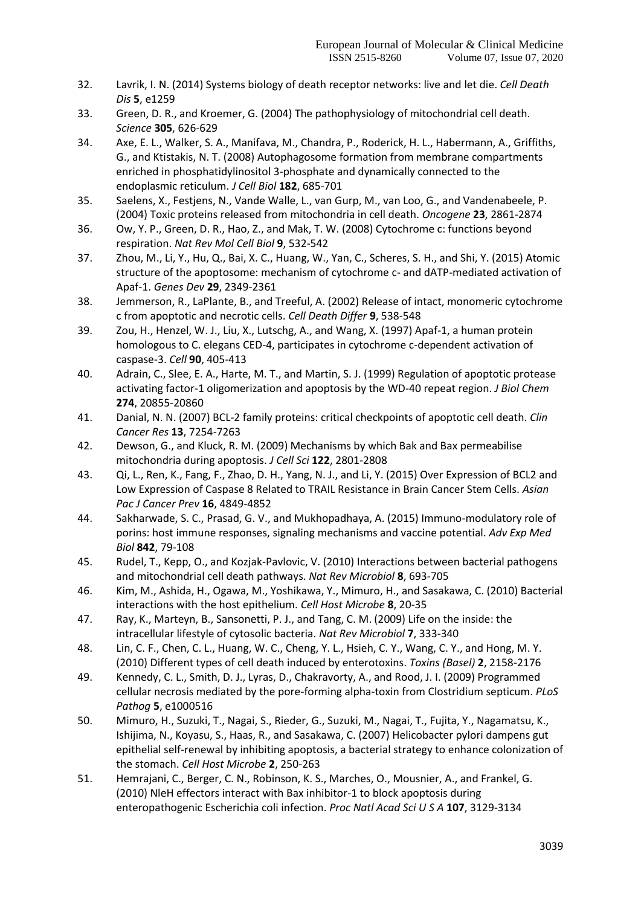- 32. Lavrik, I. N. (2014) Systems biology of death receptor networks: live and let die. *Cell Death Dis* **5**, e1259
- 33. Green, D. R., and Kroemer, G. (2004) The pathophysiology of mitochondrial cell death. *Science* **305**, 626-629
- 34. Axe, E. L., Walker, S. A., Manifava, M., Chandra, P., Roderick, H. L., Habermann, A., Griffiths, G., and Ktistakis, N. T. (2008) Autophagosome formation from membrane compartments enriched in phosphatidylinositol 3-phosphate and dynamically connected to the endoplasmic reticulum. *J Cell Biol* **182**, 685-701
- 35. Saelens, X., Festjens, N., Vande Walle, L., van Gurp, M., van Loo, G., and Vandenabeele, P. (2004) Toxic proteins released from mitochondria in cell death. *Oncogene* **23**, 2861-2874
- 36. Ow, Y. P., Green, D. R., Hao, Z., and Mak, T. W. (2008) Cytochrome c: functions beyond respiration. *Nat Rev Mol Cell Biol* **9**, 532-542
- 37. Zhou, M., Li, Y., Hu, Q., Bai, X. C., Huang, W., Yan, C., Scheres, S. H., and Shi, Y. (2015) Atomic structure of the apoptosome: mechanism of cytochrome c- and dATP-mediated activation of Apaf-1. *Genes Dev* **29**, 2349-2361
- 38. Jemmerson, R., LaPlante, B., and Treeful, A. (2002) Release of intact, monomeric cytochrome c from apoptotic and necrotic cells. *Cell Death Differ* **9**, 538-548
- 39. Zou, H., Henzel, W. J., Liu, X., Lutschg, A., and Wang, X. (1997) Apaf-1, a human protein homologous to C. elegans CED-4, participates in cytochrome c-dependent activation of caspase-3. *Cell* **90**, 405-413
- 40. Adrain, C., Slee, E. A., Harte, M. T., and Martin, S. J. (1999) Regulation of apoptotic protease activating factor-1 oligomerization and apoptosis by the WD-40 repeat region. *J Biol Chem* **274**, 20855-20860
- 41. Danial, N. N. (2007) BCL-2 family proteins: critical checkpoints of apoptotic cell death. *Clin Cancer Res* **13**, 7254-7263
- 42. Dewson, G., and Kluck, R. M. (2009) Mechanisms by which Bak and Bax permeabilise mitochondria during apoptosis. *J Cell Sci* **122**, 2801-2808
- 43. Qi, L., Ren, K., Fang, F., Zhao, D. H., Yang, N. J., and Li, Y. (2015) Over Expression of BCL2 and Low Expression of Caspase 8 Related to TRAIL Resistance in Brain Cancer Stem Cells. *Asian Pac J Cancer Prev* **16**, 4849-4852
- 44. Sakharwade, S. C., Prasad, G. V., and Mukhopadhaya, A. (2015) Immuno-modulatory role of porins: host immune responses, signaling mechanisms and vaccine potential. *Adv Exp Med Biol* **842**, 79-108
- 45. Rudel, T., Kepp, O., and Kozjak-Pavlovic, V. (2010) Interactions between bacterial pathogens and mitochondrial cell death pathways. *Nat Rev Microbiol* **8**, 693-705
- 46. Kim, M., Ashida, H., Ogawa, M., Yoshikawa, Y., Mimuro, H., and Sasakawa, C. (2010) Bacterial interactions with the host epithelium. *Cell Host Microbe* **8**, 20-35
- 47. Ray, K., Marteyn, B., Sansonetti, P. J., and Tang, C. M. (2009) Life on the inside: the intracellular lifestyle of cytosolic bacteria. *Nat Rev Microbiol* **7**, 333-340
- 48. Lin, C. F., Chen, C. L., Huang, W. C., Cheng, Y. L., Hsieh, C. Y., Wang, C. Y., and Hong, M. Y. (2010) Different types of cell death induced by enterotoxins. *Toxins (Basel)* **2**, 2158-2176
- 49. Kennedy, C. L., Smith, D. J., Lyras, D., Chakravorty, A., and Rood, J. I. (2009) Programmed cellular necrosis mediated by the pore-forming alpha-toxin from Clostridium septicum. *PLoS Pathog* **5**, e1000516
- 50. Mimuro, H., Suzuki, T., Nagai, S., Rieder, G., Suzuki, M., Nagai, T., Fujita, Y., Nagamatsu, K., Ishijima, N., Koyasu, S., Haas, R., and Sasakawa, C. (2007) Helicobacter pylori dampens gut epithelial self-renewal by inhibiting apoptosis, a bacterial strategy to enhance colonization of the stomach. *Cell Host Microbe* **2**, 250-263
- 51. Hemrajani, C., Berger, C. N., Robinson, K. S., Marches, O., Mousnier, A., and Frankel, G. (2010) NleH effectors interact with Bax inhibitor-1 to block apoptosis during enteropathogenic Escherichia coli infection. *Proc Natl Acad Sci U S A* **107**, 3129-3134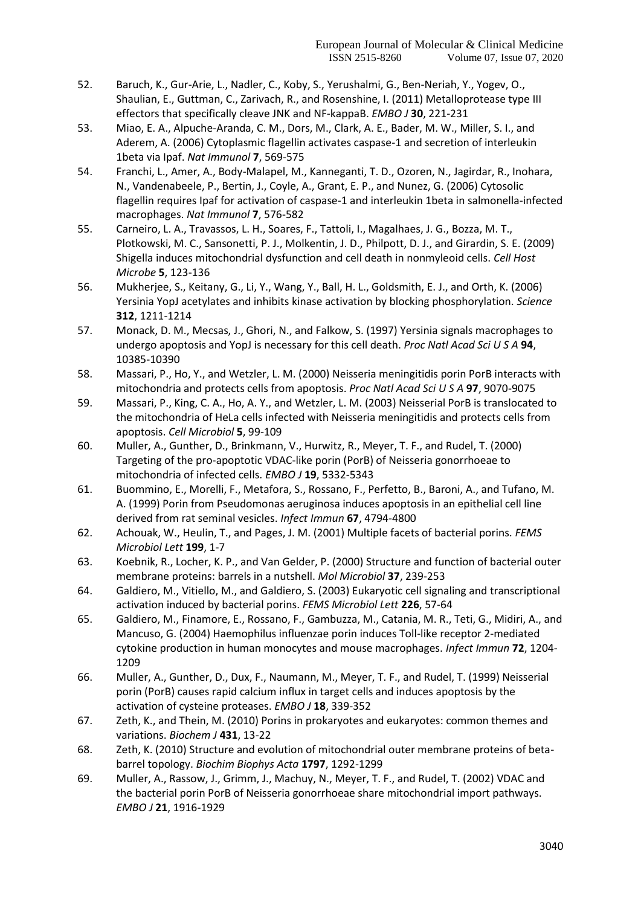- 52. Baruch, K., Gur-Arie, L., Nadler, C., Koby, S., Yerushalmi, G., Ben-Neriah, Y., Yogev, O., Shaulian, E., Guttman, C., Zarivach, R., and Rosenshine, I. (2011) Metalloprotease type III effectors that specifically cleave JNK and NF-kappaB. *EMBO J* **30**, 221-231
- 53. Miao, E. A., Alpuche-Aranda, C. M., Dors, M., Clark, A. E., Bader, M. W., Miller, S. I., and Aderem, A. (2006) Cytoplasmic flagellin activates caspase-1 and secretion of interleukin 1beta via Ipaf. *Nat Immunol* **7**, 569-575
- 54. Franchi, L., Amer, A., Body-Malapel, M., Kanneganti, T. D., Ozoren, N., Jagirdar, R., Inohara, N., Vandenabeele, P., Bertin, J., Coyle, A., Grant, E. P., and Nunez, G. (2006) Cytosolic flagellin requires Ipaf for activation of caspase-1 and interleukin 1beta in salmonella-infected macrophages. *Nat Immunol* **7**, 576-582
- 55. Carneiro, L. A., Travassos, L. H., Soares, F., Tattoli, I., Magalhaes, J. G., Bozza, M. T., Plotkowski, M. C., Sansonetti, P. J., Molkentin, J. D., Philpott, D. J., and Girardin, S. E. (2009) Shigella induces mitochondrial dysfunction and cell death in nonmyleoid cells. *Cell Host Microbe* **5**, 123-136
- 56. Mukherjee, S., Keitany, G., Li, Y., Wang, Y., Ball, H. L., Goldsmith, E. J., and Orth, K. (2006) Yersinia YopJ acetylates and inhibits kinase activation by blocking phosphorylation. *Science* **312**, 1211-1214
- 57. Monack, D. M., Mecsas, J., Ghori, N., and Falkow, S. (1997) Yersinia signals macrophages to undergo apoptosis and YopJ is necessary for this cell death. *Proc Natl Acad Sci U S A* **94**, 10385-10390
- 58. Massari, P., Ho, Y., and Wetzler, L. M. (2000) Neisseria meningitidis porin PorB interacts with mitochondria and protects cells from apoptosis. *Proc Natl Acad Sci U S A* **97**, 9070-9075
- 59. Massari, P., King, C. A., Ho, A. Y., and Wetzler, L. M. (2003) Neisserial PorB is translocated to the mitochondria of HeLa cells infected with Neisseria meningitidis and protects cells from apoptosis. *Cell Microbiol* **5**, 99-109
- 60. Muller, A., Gunther, D., Brinkmann, V., Hurwitz, R., Meyer, T. F., and Rudel, T. (2000) Targeting of the pro-apoptotic VDAC-like porin (PorB) of Neisseria gonorrhoeae to mitochondria of infected cells. *EMBO J* **19**, 5332-5343
- 61. Buommino, E., Morelli, F., Metafora, S., Rossano, F., Perfetto, B., Baroni, A., and Tufano, M. A. (1999) Porin from Pseudomonas aeruginosa induces apoptosis in an epithelial cell line derived from rat seminal vesicles. *Infect Immun* **67**, 4794-4800
- 62. Achouak, W., Heulin, T., and Pages, J. M. (2001) Multiple facets of bacterial porins. *FEMS Microbiol Lett* **199**, 1-7
- 63. Koebnik, R., Locher, K. P., and Van Gelder, P. (2000) Structure and function of bacterial outer membrane proteins: barrels in a nutshell. *Mol Microbiol* **37**, 239-253
- 64. Galdiero, M., Vitiello, M., and Galdiero, S. (2003) Eukaryotic cell signaling and transcriptional activation induced by bacterial porins. *FEMS Microbiol Lett* **226**, 57-64
- 65. Galdiero, M., Finamore, E., Rossano, F., Gambuzza, M., Catania, M. R., Teti, G., Midiri, A., and Mancuso, G. (2004) Haemophilus influenzae porin induces Toll-like receptor 2-mediated cytokine production in human monocytes and mouse macrophages. *Infect Immun* **72**, 1204- 1209
- 66. Muller, A., Gunther, D., Dux, F., Naumann, M., Meyer, T. F., and Rudel, T. (1999) Neisserial porin (PorB) causes rapid calcium influx in target cells and induces apoptosis by the activation of cysteine proteases. *EMBO J* **18**, 339-352
- 67. Zeth, K., and Thein, M. (2010) Porins in prokaryotes and eukaryotes: common themes and variations. *Biochem J* **431**, 13-22
- 68. Zeth, K. (2010) Structure and evolution of mitochondrial outer membrane proteins of betabarrel topology. *Biochim Biophys Acta* **1797**, 1292-1299
- 69. Muller, A., Rassow, J., Grimm, J., Machuy, N., Meyer, T. F., and Rudel, T. (2002) VDAC and the bacterial porin PorB of Neisseria gonorrhoeae share mitochondrial import pathways. *EMBO J* **21**, 1916-1929